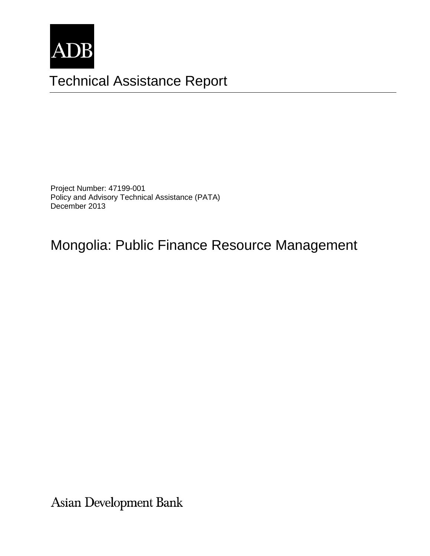

# Technical Assistance Report

Project Number: 47199-001 Policy and Advisory Technical Assistance (PATA) December 2013

Mongolia: Public Finance Resource Management

Asian Development Bank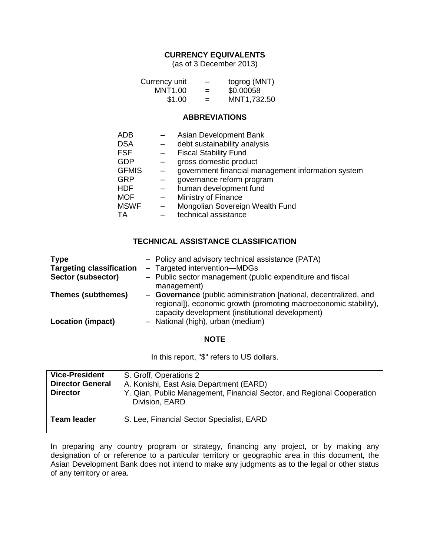#### **CURRENCY EQUIVALENTS**

(as of 3 December 2013)

| Currency unit | -   | togrog (MNT) |
|---------------|-----|--------------|
| MNT1.00       | $=$ | \$0.00058    |
| \$1.00        | $=$ | MNT1,732.50  |

#### **ABBREVIATIONS**

| ADB          |     | Asian Development Bank                             |
|--------------|-----|----------------------------------------------------|
| <b>DSA</b>   |     | debt sustainability analysis                       |
| <b>FSF</b>   |     | <b>Fiscal Stability Fund</b>                       |
| GDP          |     | gross domestic product                             |
| <b>GFMIS</b> |     | government financial management information system |
| GRP          |     | governance reform program                          |
| HDF          |     | human development fund                             |
| <b>MOF</b>   | $-$ | Ministry of Finance                                |
| <b>MSWF</b>  | $-$ | Mongolian Sovereign Wealth Fund                    |
| ТA           |     | technical assistance                               |
|              |     |                                                    |

#### **TECHNICAL ASSISTANCE CLASSIFICATION**

| <b>Type</b>                     | - Policy and advisory technical assistance (PATA)                                                                                     |
|---------------------------------|---------------------------------------------------------------------------------------------------------------------------------------|
| <b>Targeting classification</b> | - Targeted intervention-MDGs                                                                                                          |
| Sector (subsector)              | - Public sector management (public expenditure and fiscal                                                                             |
|                                 | management)                                                                                                                           |
| <b>Themes (subthemes)</b>       | - Governance (public administration [national, decentralized, and<br>regional]), economic growth (promoting macroeconomic stability), |
|                                 | capacity development (institutional development)                                                                                      |
| <b>Location (impact)</b>        | - National (high), urban (medium)                                                                                                     |

#### **NOTE**

In this report, "\$" refers to US dollars.

| <b>Vice-President</b>   | S. Groff, Operations 2                                                                   |
|-------------------------|------------------------------------------------------------------------------------------|
| <b>Director General</b> | A. Konishi, East Asia Department (EARD)                                                  |
| <b>Director</b>         | Y. Qian, Public Management, Financial Sector, and Regional Cooperation<br>Division, EARD |
| <b>Team leader</b>      | S. Lee, Financial Sector Specialist, EARD                                                |

In preparing any country program or strategy, financing any project, or by making any designation of or reference to a particular territory or geographic area in this document, the Asian Development Bank does not intend to make any judgments as to the legal or other status of any territory or area.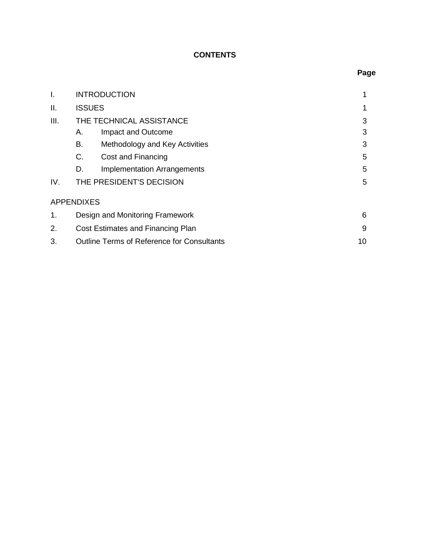# **CONTENTS**

| I.   |                   | <b>INTRODUCTION</b>                               | 1  |
|------|-------------------|---------------------------------------------------|----|
| II.  |                   | <b>ISSUES</b>                                     | 1  |
| III. |                   | THE TECHNICAL ASSISTANCE                          | 3  |
|      | А.                | Impact and Outcome                                | 3  |
|      | В.                | Methodology and Key Activities                    | 3  |
|      | C.                | Cost and Financing                                | 5  |
|      | D.                | <b>Implementation Arrangements</b>                | 5  |
| IV.  |                   | THE PRESIDENT'S DECISION                          | 5  |
|      | <b>APPENDIXES</b> |                                                   |    |
| 1.   |                   | Design and Monitoring Framework                   | 6  |
| 2.   |                   | Cost Estimates and Financing Plan                 | 9  |
| 3.   |                   | <b>Outline Terms of Reference for Consultants</b> | 10 |

# **Page**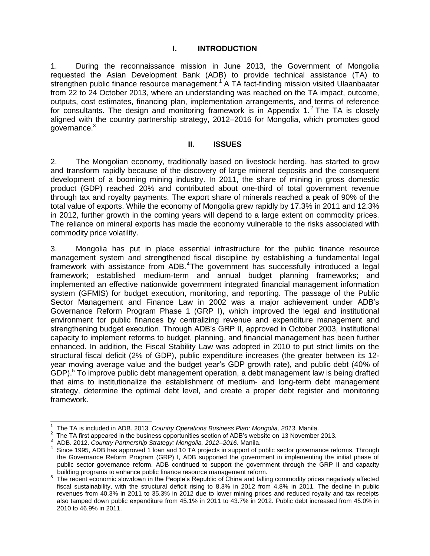#### **I. INTRODUCTION**

1. During the reconnaissance mission in June 2013, the Government of Mongolia requested the Asian Development Bank (ADB) to provide technical assistance (TA) to strengthen public finance resource management.<sup>1</sup> A TA fact-finding mission visited Ulaanbaatar from 22 to 24 October 2013, where an understanding was reached on the TA impact, outcome, outputs, cost estimates, financing plan, implementation arrangements, and terms of reference for consultants. The design and monitoring framework is in Appendix  $1<sup>2</sup>$  The TA is closely aligned with the country partnership strategy, 2012–2016 for Mongolia, which promotes good governance.<sup>3</sup>

#### **II. ISSUES**

2. The Mongolian economy, traditionally based on livestock herding, has started to grow and transform rapidly because of the discovery of large mineral deposits and the consequent development of a booming mining industry. In 2011, the share of mining in gross domestic product (GDP) reached 20% and contributed about one-third of total government revenue through tax and royalty payments. The export share of minerals reached a peak of 90% of the total value of exports. While the economy of Mongolia grew rapidly by 17.3% in 2011 and 12.3% in 2012, further growth in the coming years will depend to a large extent on commodity prices. The reliance on mineral exports has made the economy vulnerable to the risks associated with commodity price volatility.

3. Mongolia has put in place essential infrastructure for the public finance resource management system and strengthened fiscal discipline by establishing a fundamental legal framework with assistance from ADB.<sup>4</sup>The government has successfully introduced a legal framework; established medium-term and annual budget planning frameworks; and implemented an effective nationwide government integrated financial management information system (GFMIS) for budget execution, monitoring, and reporting. The passage of the Public Sector Management and Finance Law in 2002 was a major achievement under ADB's Governance Reform Program Phase 1 (GRP I), which improved the legal and institutional environment for public finances by centralizing revenue and expenditure management and strengthening budget execution. Through ADB's GRP II, approved in October 2003, institutional capacity to implement reforms to budget, planning, and financial management has been further enhanced. In addition, the Fiscal Stability Law was adopted in 2010 to put strict limits on the structural fiscal deficit (2% of GDP), public expenditure increases (the greater between its 12 year moving average value and the budget year's GDP growth rate), and public debt (40% of GDP).<sup>5</sup> To improve public debt management operation, a debt management law is being drafted that aims to institutionalize the establishment of medium- and long-term debt management strategy, determine the optimal debt level, and create a proper debt register and monitoring framework.

 $\overline{a}$ 

<sup>1</sup> The TA is included in ADB. 2013. *Country Operations Business Plan: Mongolia, 2013*. Manila.

<sup>2</sup> The TA first appeared in the business opportunities section of ADB's website on 13 November 2013.

<sup>3</sup> ADB. 2012. *Country Partnership Strategy: Mongolia, 2012–2016*. Manila.

<sup>4</sup> Since 1995, ADB has approved 1 loan and 10 TA projects in support of public sector governance reforms. Through the Governance Reform Program (GRP) I, ADB supported the government in implementing the initial phase of public sector governance reform. ADB continued to support the government through the GRP II and capacity

building programs to enhance public finance resource management reform.<br><sup>5</sup> The recent economic slowdown in the People's Republic of China and falling commodity prices negatively affected fiscal sustainability, with the structural deficit rising to 8.3% in 2012 from 4.8% in 2011. The decline in public revenues from 40.3% in 2011 to 35.3% in 2012 due to lower mining prices and reduced royalty and tax receipts also tamped down public expenditure from 45.1% in 2011 to 43.7% in 2012. Public debt increased from 45.0% in 2010 to 46.9% in 2011.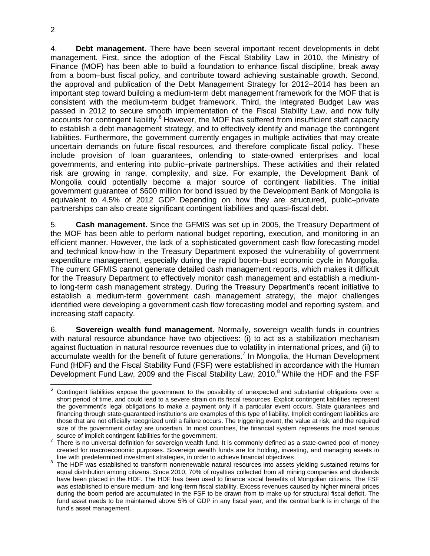2

4. **Debt management.** There have been several important recent developments in debt management. First, since the adoption of the Fiscal Stability Law in 2010, the Ministry of Finance (MOF) has been able to build a foundation to enhance fiscal discipline, break away from a boom–bust fiscal policy, and contribute toward achieving sustainable growth. Second, the approval and publication of the Debt Management Strategy for 2012–2014 has been an important step toward building a medium-term debt management framework for the MOF that is consistent with the medium-term budget framework. Third, the Integrated Budget Law was passed in 2012 to secure smooth implementation of the Fiscal Stability Law, and now fully accounts for contingent liability.<sup>6</sup> However, the MOF has suffered from insufficient staff capacity to establish a debt management strategy, and to effectively identify and manage the contingent liabilities. Furthermore, the government currently engages in multiple activities that may create uncertain demands on future fiscal resources, and therefore complicate fiscal policy. These include provision of loan guarantees, onlending to state-owned enterprises and local governments, and entering into public–private partnerships. These activities and their related risk are growing in range, complexity, and size. For example, the Development Bank of Mongolia could potentially become a major source of contingent liabilities. The initial government guarantee of \$600 million for bond issued by the Development Bank of Mongolia is equivalent to 4.5% of 2012 GDP. Depending on how they are structured, public–private partnerships can also create significant contingent liabilities and quasi-fiscal debt.

5. **Cash management.** Since the GFMIS was set up in 2005, the Treasury Department of the MOF has been able to perform national budget reporting, execution, and monitoring in an efficient manner. However, the lack of a sophisticated government cash flow forecasting model and technical know-how in the Treasury Department exposed the vulnerability of government expenditure management, especially during the rapid boom–bust economic cycle in Mongolia. The current GFMIS cannot generate detailed cash management reports, which makes it difficult for the Treasury Department to effectively monitor cash management and establish a mediumto long-term cash management strategy. During the Treasury Department's recent initiative to establish a medium-term government cash management strategy, the major challenges identified were developing a government cash flow forecasting model and reporting system, and increasing staff capacity.

6. **Sovereign wealth fund management.** Normally, sovereign wealth funds in countries with natural resource abundance have two objectives: (i) to act as a stabilization mechanism against fluctuation in natural resource revenues due to volatility in international prices, and (ii) to accumulate wealth for the benefit of future generations.<sup>7</sup> In Mongolia, the Human Development Fund (HDF) and the Fiscal Stability Fund (FSF) were established in accordance with the Human Development Fund Law, 2009 and the Fiscal Stability Law, 2010.<sup>8</sup> While the HDF and the FSF

 <sup>6</sup> Contingent liabilities expose the government to the possibility of unexpected and substantial obligations over a short period of time, and could lead to a severe strain on its fiscal resources. Explicit contingent liabilities represent the government's legal obligations to make a payment only if a particular event occurs. State guarantees and financing through state-guaranteed institutions are examples of this type of liability. Implicit contingent liabilities are those that are not officially recognized until a failure occurs. The triggering event, the value at risk, and the required size of the government outlay are uncertain. In most countries, the financial system represents the most serious source of implicit contingent liabilities for the government.

 $7$  There is no universal definition for sovereign wealth fund. It is commonly defined as a state-owned pool of money created for macroeconomic purposes. Sovereign wealth funds are for holding, investing, and managing assets in line with predetermined investment strategies, in order to achieve financial objectives.

<sup>&</sup>lt;sup>8</sup> The HDF was established to transform nonrenewable natural resources into assets yielding sustained returns for equal distribution among citizens. Since 2010, 70% of royalties collected from all mining companies and dividends have been placed in the HDF. The HDF has been used to finance social benefits of Mongolian citizens. The FSF was established to ensure medium- and long-term fiscal stability. Excess revenues caused by higher mineral prices during the boom period are accumulated in the FSF to be drawn from to make up for structural fiscal deficit. The fund asset needs to be maintained above 5% of GDP in any fiscal year, and the central bank is in charge of the fund's asset management.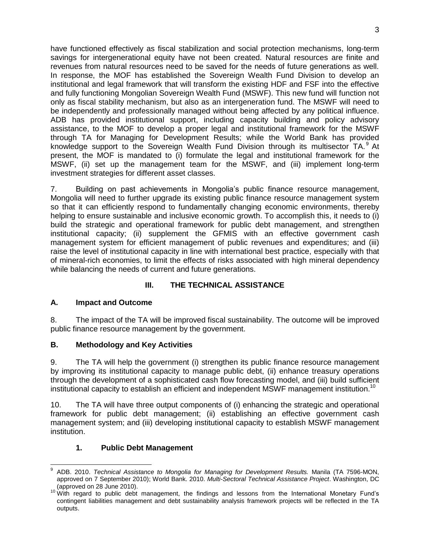have functioned effectively as fiscal stabilization and social protection mechanisms, long-term savings for intergenerational equity have not been created. Natural resources are finite and revenues from natural resources need to be saved for the needs of future generations as well. In response, the MOF has established the Sovereign Wealth Fund Division to develop an institutional and legal framework that will transform the existing HDF and FSF into the effective and fully functioning Mongolian Sovereign Wealth Fund (MSWF). This new fund will function not only as fiscal stability mechanism, but also as an intergeneration fund. The MSWF will need to be independently and professionally managed without being affected by any political influence. ADB has provided institutional support, including capacity building and policy advisory assistance, to the MOF to develop a proper legal and institutional framework for the MSWF through TA for Managing for Development Results; while the World Bank has provided knowledge support to the Sovereign Wealth Fund Division through its multisector TA. $9$  At present, the MOF is mandated to (i) formulate the legal and institutional framework for the MSWF, (ii) set up the management team for the MSWF, and (iii) implement long-term investment strategies for different asset classes.

7. Building on past achievements in Mongolia's public finance resource management, Mongolia will need to further upgrade its existing public finance resource management system so that it can efficiently respond to fundamentally changing economic environments, thereby helping to ensure sustainable and inclusive economic growth. To accomplish this, it needs to (i) build the strategic and operational framework for public debt management, and strengthen institutional capacity; (ii) supplement the GFMIS with an effective government cash management system for efficient management of public revenues and expenditures; and (iii) raise the level of institutional capacity in line with international best practice, especially with that of mineral-rich economies, to limit the effects of risks associated with high mineral dependency while balancing the needs of current and future generations.

# **III. THE TECHNICAL ASSISTANCE**

# **A. Impact and Outcome**

8. The impact of the TA will be improved fiscal sustainability. The outcome will be improved public finance resource management by the government.

# **B. Methodology and Key Activities**

9. The TA will help the government (i) strengthen its public finance resource management by improving its institutional capacity to manage public debt, (ii) enhance treasury operations through the development of a sophisticated cash flow forecasting model, and (iii) build sufficient institutional capacity to establish an efficient and independent MSWF management institution.<sup>10</sup>

10. The TA will have three output components of (i) enhancing the strategic and operational framework for public debt management; (ii) establishing an effective government cash management system; and (iii) developing institutional capacity to establish MSWF management institution.

# **1. Public Debt Management**

 9 ADB. 2010. *Technical Assistance to Mongolia for Managing for Development Results.* Manila (TA 7596-MON, approved on 7 September 2010); World Bank. 2010. *Multi-Sectoral Technical Assistance Project*. Washington, DC (approved on 28 June 2010).

<sup>&</sup>lt;sup>10</sup> With regard to public debt management, the findings and lessons from the International Monetary Fund's contingent liabilities management and debt sustainability analysis framework projects will be reflected in the TA outputs.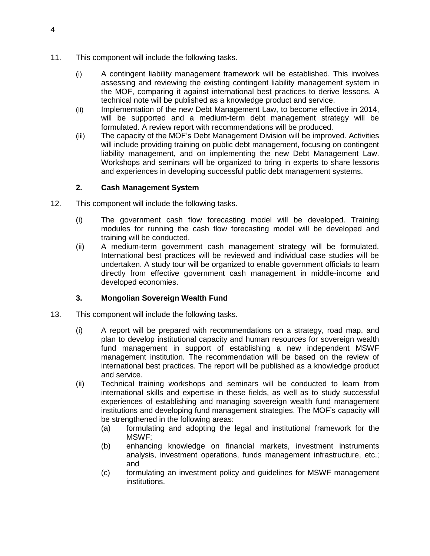- 11. This component will include the following tasks.
	- (i) A contingent liability management framework will be established. This involves assessing and reviewing the existing contingent liability management system in the MOF, comparing it against international best practices to derive lessons. A technical note will be published as a knowledge product and service.
	- (ii) Implementation of the new Debt Management Law, to become effective in 2014, will be supported and a medium-term debt management strategy will be formulated. A review report with recommendations will be produced.
	- (iii) The capacity of the MOF's Debt Management Division will be improved. Activities will include providing training on public debt management, focusing on contingent liability management, and on implementing the new Debt Management Law. Workshops and seminars will be organized to bring in experts to share lessons and experiences in developing successful public debt management systems.

#### **2. Cash Management System**

- 12. This component will include the following tasks.
	- (i) The government cash flow forecasting model will be developed. Training modules for running the cash flow forecasting model will be developed and training will be conducted.
	- (ii) A medium-term government cash management strategy will be formulated. International best practices will be reviewed and individual case studies will be undertaken. A study tour will be organized to enable government officials to learn directly from effective government cash management in middle-income and developed economies.

# **3. Mongolian Sovereign Wealth Fund**

- 13. This component will include the following tasks.
	- (i) A report will be prepared with recommendations on a strategy, road map, and plan to develop institutional capacity and human resources for sovereign wealth fund management in support of establishing a new independent MSWF management institution. The recommendation will be based on the review of international best practices. The report will be published as a knowledge product and service.
	- (ii) Technical training workshops and seminars will be conducted to learn from international skills and expertise in these fields, as well as to study successful experiences of establishing and managing sovereign wealth fund management institutions and developing fund management strategies. The MOF's capacity will be strengthened in the following areas:
		- (a) formulating and adopting the legal and institutional framework for the MSWF;
		- (b) enhancing knowledge on financial markets, investment instruments analysis, investment operations, funds management infrastructure, etc.; and
		- (c) formulating an investment policy and guidelines for MSWF management institutions.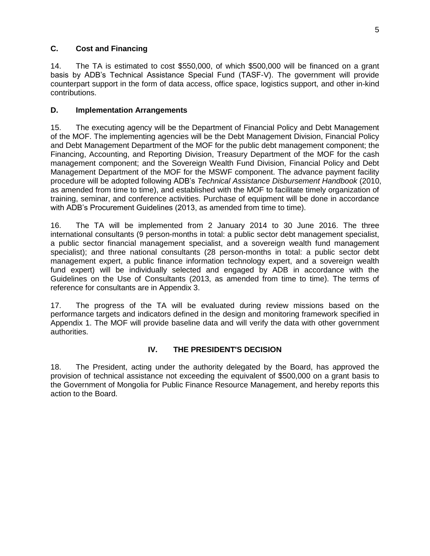#### **C. Cost and Financing**

14. The TA is estimated to cost \$550,000, of which \$500,000 will be financed on a grant basis by ADB's Technical Assistance Special Fund (TASF-V). The government will provide counterpart support in the form of data access, office space, logistics support, and other in-kind contributions.

#### **D. Implementation Arrangements**

15. The executing agency will be the Department of Financial Policy and Debt Management of the MOF. The implementing agencies will be the Debt Management Division, Financial Policy and Debt Management Department of the MOF for the public debt management component; the Financing, Accounting, and Reporting Division, Treasury Department of the MOF for the cash management component; and the Sovereign Wealth Fund Division, Financial Policy and Debt Management Department of the MOF for the MSWF component. The advance payment facility procedure will be adopted following ADB's *Technical Assistance Disbursement Handbook* (2010, as amended from time to time), and established with the MOF to facilitate timely organization of training, seminar, and conference activities. Purchase of equipment will be done in accordance with ADB's Procurement Guidelines (2013, as amended from time to time).

16. The TA will be implemented from 2 January 2014 to 30 June 2016. The three international consultants (9 person-months in total: a public sector debt management specialist, a public sector financial management specialist, and a sovereign wealth fund management specialist); and three national consultants (28 person-months in total: a public sector debt management expert, a public finance information technology expert, and a sovereign wealth fund expert) will be individually selected and engaged by ADB in accordance with the Guidelines on the Use of Consultants (2013, as amended from time to time). The terms of reference for consultants are in Appendix 3.

17. The progress of the TA will be evaluated during review missions based on the performance targets and indicators defined in the design and monitoring framework specified in Appendix 1. The MOF will provide baseline data and will verify the data with other government authorities.

# **IV. THE PRESIDENT'S DECISION**

18. The President, acting under the authority delegated by the Board, has approved the provision of technical assistance not exceeding the equivalent of \$500,000 on a grant basis to the Government of Mongolia for Public Finance Resource Management, and hereby reports this action to the Board.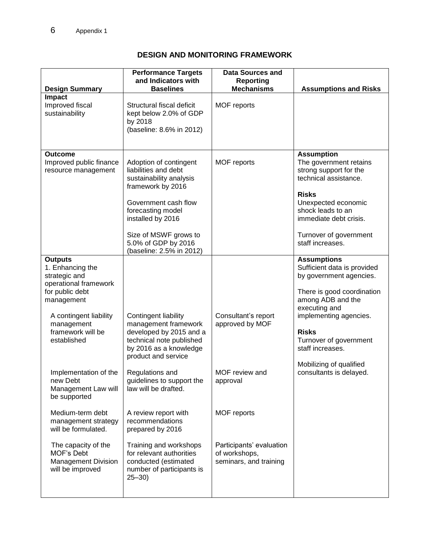# **DESIGN AND MONITORING FRAMEWORK**

|                                                                                                                                                                                                                                                       | <b>Performance Targets</b><br>and Indicators with<br><b>Baselines</b>                                                                                                                                                                        | <b>Data Sources and</b><br>Reporting<br><b>Mechanisms</b>                          |                                                                                                                                                                                                                                                                                                |
|-------------------------------------------------------------------------------------------------------------------------------------------------------------------------------------------------------------------------------------------------------|----------------------------------------------------------------------------------------------------------------------------------------------------------------------------------------------------------------------------------------------|------------------------------------------------------------------------------------|------------------------------------------------------------------------------------------------------------------------------------------------------------------------------------------------------------------------------------------------------------------------------------------------|
| <b>Design Summary</b><br><b>Impact</b><br>Improved fiscal<br>sustainability                                                                                                                                                                           | Structural fiscal deficit<br>kept below 2.0% of GDP<br>by 2018<br>(baseline: 8.6% in 2012)                                                                                                                                                   | MOF reports                                                                        | <b>Assumptions and Risks</b>                                                                                                                                                                                                                                                                   |
| <b>Outcome</b><br>Improved public finance<br>resource management                                                                                                                                                                                      | Adoption of contingent<br>liabilities and debt<br>sustainability analysis<br>framework by 2016<br>Government cash flow<br>forecasting model<br>installed by 2016<br>Size of MSWF grows to<br>5.0% of GDP by 2016<br>(baseline: 2.5% in 2012) | MOF reports                                                                        | <b>Assumption</b><br>The government retains<br>strong support for the<br>technical assistance.<br><b>Risks</b><br>Unexpected economic<br>shock leads to an<br>immediate debt crisis.<br>Turnover of government<br>staff increases.                                                             |
| <b>Outputs</b><br>1. Enhancing the<br>strategic and<br>operational framework<br>for public debt<br>management<br>A contingent liability<br>management<br>framework will be<br>established<br>Implementation of the<br>new Debt<br>Management Law will | Contingent liability<br>management framework<br>developed by 2015 and a<br>technical note published<br>by 2016 as a knowledge<br>product and service<br>Regulations and<br>guidelines to support the<br>law will be drafted.                 | Consultant's report<br>approved by MOF<br>MOF review and<br>approval               | <b>Assumptions</b><br>Sufficient data is provided<br>by government agencies.<br>There is good coordination<br>among ADB and the<br>executing and<br>implementing agencies.<br><b>Risks</b><br>Turnover of government<br>staff increases.<br>Mobilizing of qualified<br>consultants is delayed. |
| be supported<br>Medium-term debt<br>management strategy<br>will be formulated.<br>The capacity of the<br>MOF's Debt<br><b>Management Division</b><br>will be improved                                                                                 | A review report with<br>recommendations<br>prepared by 2016<br>Training and workshops<br>for relevant authorities<br>conducted (estimated<br>number of participants is<br>$25 - 30$                                                          | MOF reports<br>Participants' evaluation<br>of workshops,<br>seminars, and training |                                                                                                                                                                                                                                                                                                |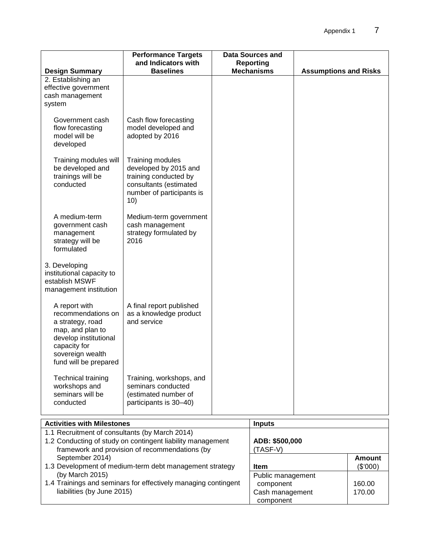|                                                                                                                                                                   | <b>Performance Targets</b><br>and Indicators with                                                                                | <b>Data Sources and</b><br><b>Reporting</b> |                              |               |
|-------------------------------------------------------------------------------------------------------------------------------------------------------------------|----------------------------------------------------------------------------------------------------------------------------------|---------------------------------------------|------------------------------|---------------|
| <b>Design Summary</b>                                                                                                                                             | <b>Baselines</b>                                                                                                                 | <b>Mechanisms</b>                           | <b>Assumptions and Risks</b> |               |
| 2. Establishing an<br>effective government<br>cash management<br>system                                                                                           |                                                                                                                                  |                                             |                              |               |
| Government cash<br>flow forecasting<br>model will be<br>developed                                                                                                 | Cash flow forecasting<br>model developed and<br>adopted by 2016                                                                  |                                             |                              |               |
| Training modules will<br>be developed and<br>trainings will be<br>conducted                                                                                       | Training modules<br>developed by 2015 and<br>training conducted by<br>consultants (estimated<br>number of participants is<br>10) |                                             |                              |               |
| A medium-term<br>government cash<br>management<br>strategy will be<br>formulated                                                                                  | Medium-term government<br>cash management<br>strategy formulated by<br>2016                                                      |                                             |                              |               |
| 3. Developing<br>institutional capacity to<br>establish MSWF<br>management institution                                                                            |                                                                                                                                  |                                             |                              |               |
| A report with<br>recommendations on<br>a strategy, road<br>map, and plan to<br>develop institutional<br>capacity for<br>sovereign wealth<br>fund will be prepared | A final report published<br>as a knowledge product<br>and service                                                                |                                             |                              |               |
| <b>Technical training</b><br>workshops and<br>seminars will be<br>conducted                                                                                       | Training, workshops, and<br>seminars conducted<br>(estimated number of<br>participants is 30-40)                                 |                                             |                              |               |
| <b>Activities with Milestones</b>                                                                                                                                 |                                                                                                                                  | <b>Inputs</b>                               |                              |               |
| 1.1 Recruitment of consultants (by March 2014)<br>September 2014)                                                                                                 | 1.2 Conducting of study on contingent liability management<br>framework and provision of recommendations (by                     | ADB: \$500,000<br>(TASF-V)                  |                              | <b>Amount</b> |

1.3 Development of medium-term debt management strategy (by March 2015)

1.4 Trainings and seminars for effectively managing contingent liabilities (by June 2015)

| (TASF-V)          |          |
|-------------------|----------|
|                   | Amount   |
| Item              | (\$'000) |
| Public management |          |
| component         | 160.00   |
| Cash management   | 170.00   |
| component         |          |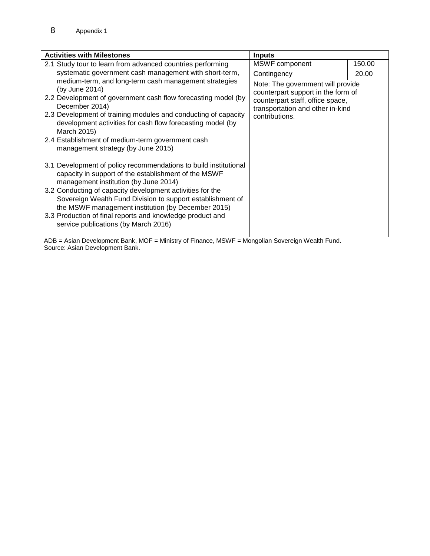| <b>Activities with Milestones</b>                                                                                                                                                                                                                                                                                                                                                                                                                       | <b>Inputs</b>                                                                                                                                                     |        |
|---------------------------------------------------------------------------------------------------------------------------------------------------------------------------------------------------------------------------------------------------------------------------------------------------------------------------------------------------------------------------------------------------------------------------------------------------------|-------------------------------------------------------------------------------------------------------------------------------------------------------------------|--------|
| 2.1 Study tour to learn from advanced countries performing                                                                                                                                                                                                                                                                                                                                                                                              | MSWF component                                                                                                                                                    | 150.00 |
| systematic government cash management with short-term,                                                                                                                                                                                                                                                                                                                                                                                                  | Contingency                                                                                                                                                       | 20.00  |
| medium-term, and long-term cash management strategies<br>(by June 2014)<br>2.2 Development of government cash flow forecasting model (by<br>December 2014)<br>2.3 Development of training modules and conducting of capacity<br>development activities for cash flow forecasting model (by<br>March 2015)<br>2.4 Establishment of medium-term government cash<br>management strategy (by June 2015)                                                     | Note: The government will provide<br>counterpart support in the form of<br>counterpart staff, office space,<br>transportation and other in-kind<br>contributions. |        |
| 3.1 Development of policy recommendations to build institutional<br>capacity in support of the establishment of the MSWF<br>management institution (by June 2014)<br>3.2 Conducting of capacity development activities for the<br>Sovereign Wealth Fund Division to support establishment of<br>the MSWF management institution (by December 2015)<br>3.3 Production of final reports and knowledge product and<br>service publications (by March 2016) |                                                                                                                                                                   |        |

ADB = Asian Development Bank, MOF = Ministry of Finance, MSWF = Mongolian Sovereign Wealth Fund. Source: Asian Development Bank.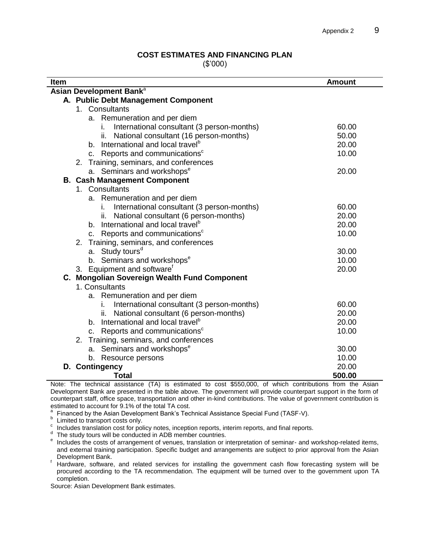#### **COST ESTIMATES AND FINANCING PLAN**

(\$'000)

| Item                                             | <b>Amount</b> |
|--------------------------------------------------|---------------|
| Asian Development Bank <sup>a</sup>              |               |
| A. Public Debt Management Component              |               |
| 1. Consultants                                   |               |
| a. Remuneration and per diem                     |               |
| International consultant (3 person-months)<br>i. | 60.00         |
| National consultant (16 person-months)<br>ii.    | 50.00         |
| b. International and local travel <sup>b</sup>   | 20.00         |
| c. Reports and communications <sup>c</sup>       | 10.00         |
| 2. Training, seminars, and conferences           |               |
| a. Seminars and workshops <sup>e</sup>           | 20.00         |
| <b>B. Cash Management Component</b>              |               |
| 1. Consultants                                   |               |
| a. Remuneration and per diem                     |               |
| International consultant (3 person-months)<br>i. | 60.00         |
| National consultant (6 person-months)<br>ii.     | 20.00         |
| b. International and local travel <sup>b</sup>   | 20.00         |
| c. Reports and communications <sup>c</sup>       | 10.00         |
| 2. Training, seminars, and conferences           |               |
| a. Study tours <sup>d</sup>                      | 30.00         |
| b. Seminars and workshops <sup>e</sup>           | 10.00         |
| 3. Equipment and software <sup>f</sup>           | 20.00         |
| C. Mongolian Sovereign Wealth Fund Component     |               |
| 1. Consultants                                   |               |
| a. Remuneration and per diem                     |               |
| International consultant (3 person-months)<br>İ. | 60.00         |
| National consultant (6 person-months)<br>ii.     | 20.00         |
| b. International and local travel <sup>b</sup>   | 20.00         |
| Reports and communications <sup>c</sup><br>C.    | 10.00         |
| Training, seminars, and conferences<br>2.        |               |
| a. Seminars and workshops <sup>e</sup>           | 30.00         |
| b. Resource persons                              | 10.00         |
| D. Contingency                                   | 20.00         |
| <b>Total</b>                                     | 500.00        |

Note: The technical assistance (TA) is estimated to cost \$550,000, of which contributions from the Asian Development Bank are presented in the table above. The government will provide counterpart support in the form of counterpart staff, office space, transportation and other in-kind contributions. The value of government contribution is estimated to account for 9.1% of the total TA cost.<br>a. Einanced by the Asian Dovelopment Bank's Tos

Financed by the Asian Development Bank's Technical Assistance Special Fund (TASF-V).

**b** Limited to transport costs only.

 $\degree$  Includes translation cost for policy notes, inception reports, interim reports, and final reports.

d The study tours will be conducted in ADB member countries.

e Includes the costs of arrangement of venues, translation or interpretation of seminar- and workshop-related items, and external training participation. Specific budget and arrangements are subject to prior approval from the Asian Development Bank.

<sup>f</sup> Hardware, software, and related services for installing the government cash flow forecasting system will be procured according to the TA recommendation. The equipment will be turned over to the government upon TA completion.

Source: Asian Development Bank estimates.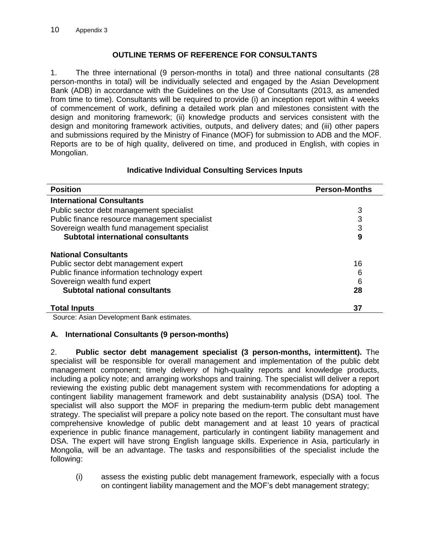#### **OUTLINE TERMS OF REFERENCE FOR CONSULTANTS**

1. The three international (9 person-months in total) and three national consultants (28 person-months in total) will be individually selected and engaged by the Asian Development Bank (ADB) in accordance with the Guidelines on the Use of Consultants (2013, as amended from time to time). Consultants will be required to provide (i) an inception report within 4 weeks of commencement of work, defining a detailed work plan and milestones consistent with the design and monitoring framework; (ii) knowledge products and services consistent with the design and monitoring framework activities, outputs, and delivery dates; and (iii) other papers and submissions required by the Ministry of Finance (MOF) for submission to ADB and the MOF. Reports are to be of high quality, delivered on time, and produced in English, with copies in Mongolian.

#### **Indicative Individual Consulting Services Inputs**

| <b>Position</b>                               | <b>Person-Months</b> |
|-----------------------------------------------|----------------------|
| <b>International Consultants</b>              |                      |
| Public sector debt management specialist      | 3                    |
| Public finance resource management specialist | 3                    |
| Sovereign wealth fund management specialist   | 3                    |
| <b>Subtotal international consultants</b>     | 9                    |
| <b>National Consultants</b>                   |                      |
| Public sector debt management expert          | 16                   |
| Public finance information technology expert  | 6                    |
| Sovereign wealth fund expert                  | 6                    |
| <b>Subtotal national consultants</b>          | 28                   |
| <b>Total Inputs</b>                           | 37                   |

Source: Asian Development Bank estimates.

# **A. International Consultants (9 person-months)**

2. **Public sector debt management specialist (3 person-months, intermittent).** The specialist will be responsible for overall management and implementation of the public debt management component; timely delivery of high-quality reports and knowledge products, including a policy note; and arranging workshops and training. The specialist will deliver a report reviewing the existing public debt management system with recommendations for adopting a contingent liability management framework and debt sustainability analysis (DSA) tool. The specialist will also support the MOF in preparing the medium-term public debt management strategy. The specialist will prepare a policy note based on the report. The consultant must have comprehensive knowledge of public debt management and at least 10 years of practical experience in public finance management, particularly in contingent liability management and DSA. The expert will have strong English language skills. Experience in Asia, particularly in Mongolia, will be an advantage. The tasks and responsibilities of the specialist include the following:

(i) assess the existing public debt management framework, especially with a focus on contingent liability management and the MOF's debt management strategy;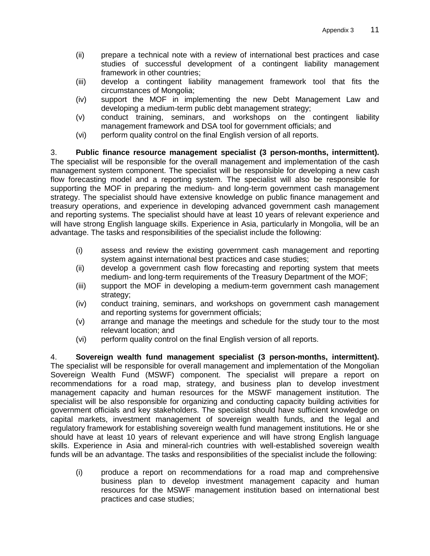- (ii) prepare a technical note with a review of international best practices and case studies of successful development of a contingent liability management framework in other countries;
- (iii) develop a contingent liability management framework tool that fits the circumstances of Mongolia;
- (iv) support the MOF in implementing the new Debt Management Law and developing a medium-term public debt management strategy;
- (v) conduct training, seminars, and workshops on the contingent liability management framework and DSA tool for government officials; and
- (vi) perform quality control on the final English version of all reports.

3. **Public finance resource management specialist (3 person-months, intermittent).**  The specialist will be responsible for the overall management and implementation of the cash management system component. The specialist will be responsible for developing a new cash flow forecasting model and a reporting system. The specialist will also be responsible for supporting the MOF in preparing the medium- and long-term government cash management strategy. The specialist should have extensive knowledge on public finance management and treasury operations, and experience in developing advanced government cash management and reporting systems. The specialist should have at least 10 years of relevant experience and will have strong English language skills. Experience in Asia, particularly in Mongolia, will be an advantage. The tasks and responsibilities of the specialist include the following:

- (i) assess and review the existing government cash management and reporting system against international best practices and case studies;
- (ii) develop a government cash flow forecasting and reporting system that meets medium- and long-term requirements of the Treasury Department of the MOF;
- (iii) support the MOF in developing a medium-term government cash management strategy;
- (iv) conduct training, seminars, and workshops on government cash management and reporting systems for government officials;
- (v) arrange and manage the meetings and schedule for the study tour to the most relevant location; and
- (vi) perform quality control on the final English version of all reports.

4. **Sovereign wealth fund management specialist (3 person-months, intermittent).**  The specialist will be responsible for overall management and implementation of the Mongolian Sovereign Wealth Fund (MSWF) component. The specialist will prepare a report on recommendations for a road map, strategy, and business plan to develop investment management capacity and human resources for the MSWF management institution. The specialist will be also responsible for organizing and conducting capacity building activities for government officials and key stakeholders. The specialist should have sufficient knowledge on capital markets, investment management of sovereign wealth funds, and the legal and regulatory framework for establishing sovereign wealth fund management institutions. He or she should have at least 10 years of relevant experience and will have strong English language skills. Experience in Asia and mineral-rich countries with well-established sovereign wealth funds will be an advantage. The tasks and responsibilities of the specialist include the following:

(i) produce a report on recommendations for a road map and comprehensive business plan to develop investment management capacity and human resources for the MSWF management institution based on international best practices and case studies;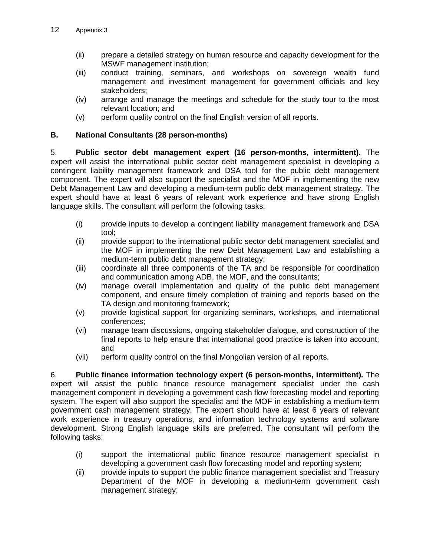- (ii) prepare a detailed strategy on human resource and capacity development for the MSWF management institution;
- (iii) conduct training, seminars, and workshops on sovereign wealth fund management and investment management for government officials and key stakeholders;
- (iv) arrange and manage the meetings and schedule for the study tour to the most relevant location; and
- (v) perform quality control on the final English version of all reports.

#### **B. National Consultants (28 person-months)**

5. **Public sector debt management expert (16 person-months, intermittent).** The expert will assist the international public sector debt management specialist in developing a contingent liability management framework and DSA tool for the public debt management component. The expert will also support the specialist and the MOF in implementing the new Debt Management Law and developing a medium-term public debt management strategy. The expert should have at least 6 years of relevant work experience and have strong English language skills. The consultant will perform the following tasks:

- (i) provide inputs to develop a contingent liability management framework and DSA tool;
- (ii) provide support to the international public sector debt management specialist and the MOF in implementing the new Debt Management Law and establishing a medium-term public debt management strategy;
- (iii) coordinate all three components of the TA and be responsible for coordination and communication among ADB, the MOF, and the consultants;
- (iv) manage overall implementation and quality of the public debt management component, and ensure timely completion of training and reports based on the TA design and monitoring framework;
- (v) provide logistical support for organizing seminars, workshops, and international conferences;
- (vi) manage team discussions, ongoing stakeholder dialogue, and construction of the final reports to help ensure that international good practice is taken into account; and
- (vii) perform quality control on the final Mongolian version of all reports.

6. **Public finance information technology expert (6 person-months, intermittent).** The expert will assist the public finance resource management specialist under the cash management component in developing a government cash flow forecasting model and reporting system. The expert will also support the specialist and the MOF in establishing a medium-term government cash management strategy. The expert should have at least 6 years of relevant work experience in treasury operations, and information technology systems and software development. Strong English language skills are preferred. The consultant will perform the following tasks:

- (i) support the international public finance resource management specialist in developing a government cash flow forecasting model and reporting system;
- (ii) provide inputs to support the public finance management specialist and Treasury Department of the MOF in developing a medium-term government cash management strategy;